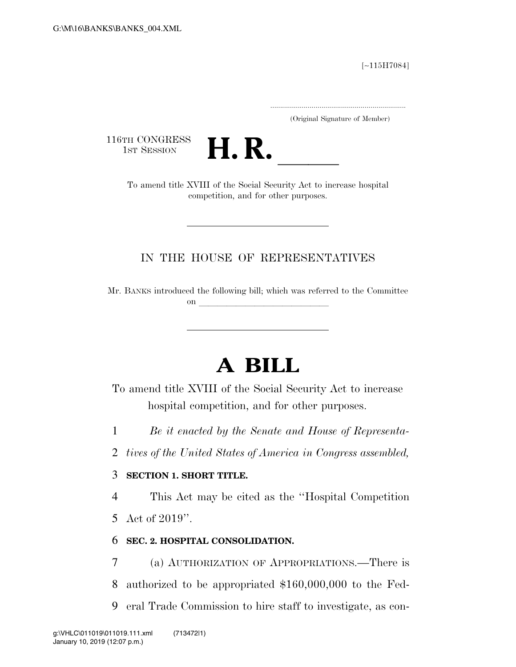[∼115H7084]

.....................................................................

(Original Signature of Member)

116TH CONGRESS<br>1st Session



1ST SESSION **H. R.** ll To amend title XVIII of the Social Security Act to increase hospital competition, and for other purposes.

## IN THE HOUSE OF REPRESENTATIVES

Mr. BANKS introduced the following bill; which was referred to the Committee on  $\overline{\qquad \qquad }$ 

## **A BILL**

To amend title XVIII of the Social Security Act to increase hospital competition, and for other purposes.

1 *Be it enacted by the Senate and House of Representa-*

2 *tives of the United States of America in Congress assembled,* 

## 3 **SECTION 1. SHORT TITLE.**

4 This Act may be cited as the ''Hospital Competition

5 Act of 2019''.

## 6 **SEC. 2. HOSPITAL CONSOLIDATION.**

7 (a) AUTHORIZATION OF APPROPRIATIONS.—There is 8 authorized to be appropriated \$160,000,000 to the Fed-9 eral Trade Commission to hire staff to investigate, as con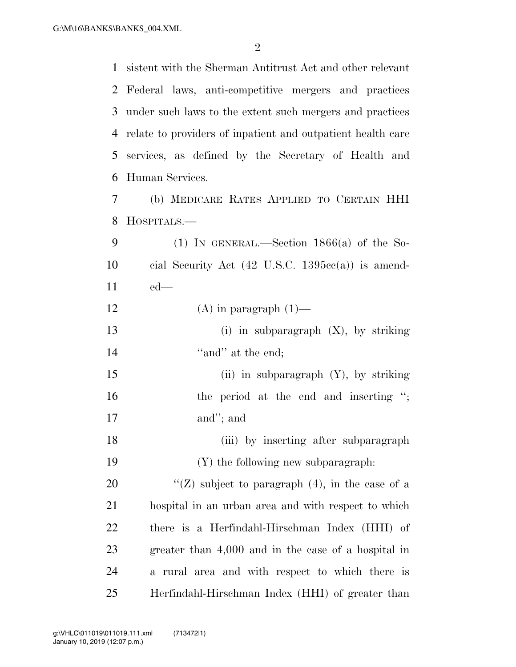sistent with the Sherman Antitrust Act and other relevant Federal laws, anti-competitive mergers and practices under such laws to the extent such mergers and practices relate to providers of inpatient and outpatient health care services, as defined by the Secretary of Health and Human Services.

 (b) MEDICARE RATES APPLIED TO CERTAIN HHI HOSPITALS.—

| - 9 | (1) IN GENERAL.—Section $1866(a)$ of the So-                        |
|-----|---------------------------------------------------------------------|
| 10  | cial Security Act $(42 \text{ U.S.C. } 1395\text{cc}(a))$ is amend- |
| 11  | $-$ ed—                                                             |

- 12  $(A)$  in paragraph  $(1)$ —
- (i) in subparagraph (X), by striking 14 ''and'' at the end:

 (ii) in subparagraph (Y), by striking 16 the period at the end and inserting "; and''; and

18 (iii) by inserting after subparagraph (Y) the following new subparagraph:

 $\langle G \rangle$  subject to paragraph (4), in the case of a hospital in an urban area and with respect to which there is a Herfindahl-Hirschman Index (HHI) of greater than 4,000 and in the case of a hospital in a rural area and with respect to which there is Herfindahl-Hirschman Index (HHI) of greater than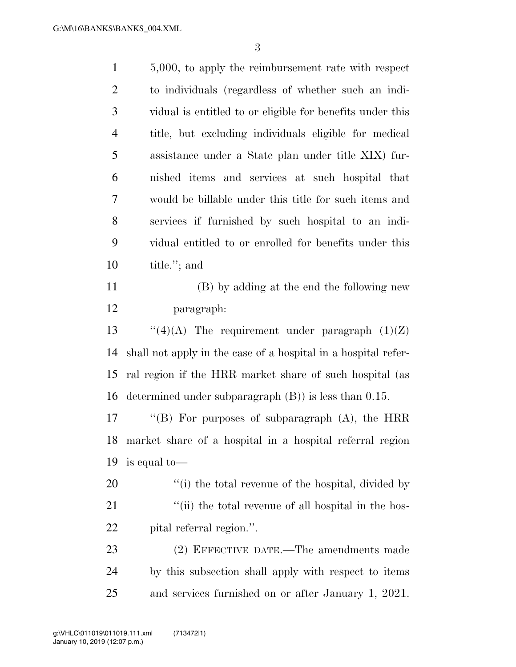| $\mathbf{1}$   | 5,000, to apply the reimbursement rate with respect            |
|----------------|----------------------------------------------------------------|
| $\overline{2}$ | to individuals (regardless of whether such an indi-            |
| 3              | vidual is entitled to or eligible for benefits under this      |
| $\overline{4}$ | title, but excluding individuals eligible for medical          |
| 5              | assistance under a State plan under title XIX) fur-            |
| 6              | nished items and services at such hospital that                |
| 7              | would be billable under this title for such items and          |
| 8              | services if furnished by such hospital to an indi-             |
| 9              | vidual entitled to or enrolled for benefits under this         |
| 10             | title."; and                                                   |
| 11             | (B) by adding at the end the following new                     |
| 12             | paragraph:                                                     |
| 13             | "(4)(A) The requirement under paragraph $(1)(Z)$               |
| 14             | shall not apply in the case of a hospital in a hospital refer- |
| 15             | ral region if the HRR market share of such hospital (as        |
| 16             | determined under subparagraph $(B)$ ) is less than 0.15.       |
| 17             | "(B) For purposes of subparagraph $(A)$ , the HRR              |
| 18             | market share of a hospital in a hospital referral region       |
| 19             | is equal to—                                                   |
| 20             | "(i) the total revenue of the hospital, divided by             |
| 21             | "(ii) the total revenue of all hospital in the hos-            |
| 22             | pital referral region.".                                       |
| 23             | (2) EFFECTIVE DATE.—The amendments made                        |
| 24             | by this subsection shall apply with respect to items           |
| 25             | and services furnished on or after January 1, 2021.            |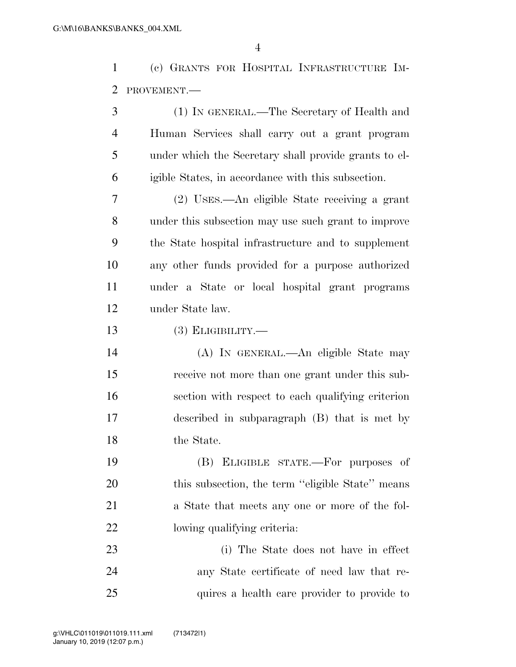(c) GRANTS FOR HOSPITAL INFRASTRUCTURE IM-PROVEMENT.—

| 3              | (1) IN GENERAL.—The Secretary of Health and           |
|----------------|-------------------------------------------------------|
| $\overline{4}$ | Human Services shall carry out a grant program        |
| 5              | under which the Secretary shall provide grants to el- |
| 6              | igible States, in accordance with this subsection.    |
| 7              | (2) USES.—An eligible State receiving a grant         |
| 8              | under this subsection may use such grant to improve   |
| 9              | the State hospital infrastructure and to supplement   |
| 10             | any other funds provided for a purpose authorized     |
| 11             | under a State or local hospital grant programs        |
| 12             | under State law.                                      |
| 13             | $(3)$ ELIGIBILITY.—                                   |
| 14             | (A) IN GENERAL.—An eligible State may                 |
| 15             | receive not more than one grant under this sub-       |
| 16             | section with respect to each qualifying criterion     |
| 17             | described in subparagraph (B) that is met by          |
| 18             | the State.                                            |
| 19             | (B) ELIGIBLE STATE.—For purposes of                   |
| 20             | this subsection, the term "eligible State" means      |
| 21             | a State that meets any one or more of the fol-        |
| 22             | lowing qualifying criteria:                           |
| 23             | (i) The State does not have in effect                 |
| 24             | any State certificate of need law that re-            |
| 25             | quires a health care provider to provide to           |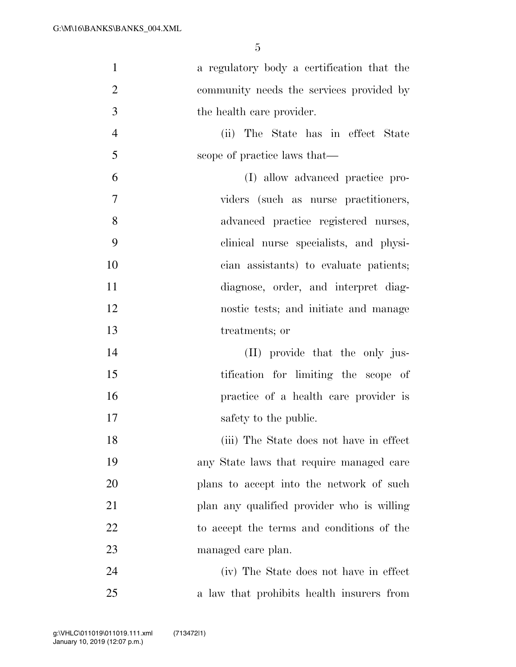| $\mathbf{1}$   | a regulatory body a certification that the |
|----------------|--------------------------------------------|
| $\overline{2}$ | community needs the services provided by   |
| 3              | the health care provider.                  |
| $\overline{4}$ | (ii) The State has in effect State         |
| 5              | scope of practice laws that—               |
| 6              | (I) allow advanced practice pro-           |
| 7              | viders (such as nurse practitioners,       |
| 8              | advanced practice registered nurses,       |
| 9              | clinical nurse specialists, and physi-     |
| 10             | cian assistants) to evaluate patients;     |
| 11             | diagnose, order, and interpret diag-       |
| 12             | nostic tests; and initiate and manage      |
| 13             | treatments; or                             |
| 14             | (II) provide that the only jus-            |
| 15             | tification for limiting the scope of       |
| 16             | practice of a health care provider is      |
| 17             | safety to the public.                      |
| 18             | (iii) The State does not have in effect    |
| 19             | any State laws that require managed care   |
| 20             | plans to accept into the network of such   |
| 21             | plan any qualified provider who is willing |
| 22             | to accept the terms and conditions of the  |
| 23             | managed care plan.                         |
| 24             | (iv) The State does not have in effect     |
| 25             | a law that prohibits health insurers from  |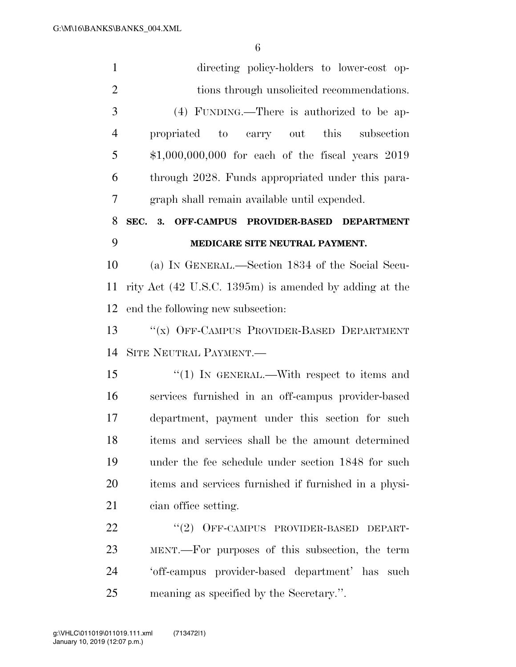| $\mathbf{1}$   | directing policy-holders to lower-cost op-             |
|----------------|--------------------------------------------------------|
| $\overline{2}$ | tions through unsolicited recommendations.             |
| 3              | (4) FUNDING.—There is authorized to be ap-             |
| $\overline{4}$ | propriated to carry out this<br>subsection             |
| 5              | $$1,000,000,000$ for each of the fiscal years $2019$   |
| 6              | through 2028. Funds appropriated under this para-      |
| 7              | graph shall remain available until expended.           |
| 8              | SEC. 3. OFF-CAMPUS PROVIDER-BASED DEPARTMENT           |
| 9              | MEDICARE SITE NEUTRAL PAYMENT.                         |
| 10             | (a) IN GENERAL.—Section 1834 of the Social Secu-       |
| 11             | rity Act (42 U.S.C. 1395m) is amended by adding at the |
| 12             | end the following new subsection:                      |
| 13             | "(x) OFF-CAMPUS PROVIDER-BASED DEPARTMENT              |
| 14             | SITE NEUTRAL PAYMENT.                                  |
| 15             | $\cdot\cdot(1)$ In GENERAL.—With respect to items and  |
| 16             | services furnished in an off-campus provider-based     |
| 17             | department, payment under this section for such        |
| 18             | items and services shall be the amount determined      |
| 19             | under the fee schedule under section 1848 for such     |
| 20             | items and services furnished if furnished in a physi-  |
| 21             | cian office setting.                                   |
| 22             | "(2) OFF-CAMPUS PROVIDER-BASED<br>DEPART-              |
| 23             | MENT.—For purposes of this subsection, the term        |
| 24             | 'off-campus provider-based department' has such        |
| 25             | meaning as specified by the Secretary.".               |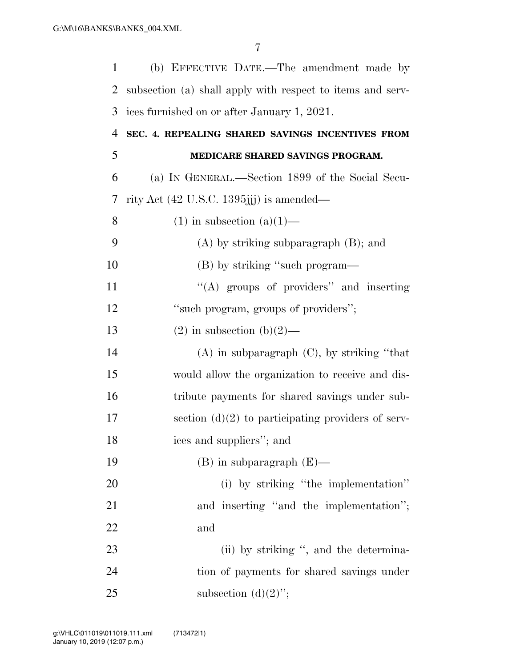| $\mathbf{1}$   | (b) EFFECTIVE DATE.—The amendment made by                  |
|----------------|------------------------------------------------------------|
| $\overline{2}$ | subsection (a) shall apply with respect to items and serv- |
| 3              | ices furnished on or after January 1, 2021.                |
| $\overline{4}$ | SEC. 4. REPEALING SHARED SAVINGS INCENTIVES FROM           |
| 5              | MEDICARE SHARED SAVINGS PROGRAM.                           |
| 6              | (a) IN GENERAL.—Section 1899 of the Social Secu-           |
| 7              | rity Act $(42 \text{ U.S.C. } 1395)$ jj) is amended—       |
| 8              | $(1)$ in subsection $(a)(1)$ —                             |
| 9              | $(A)$ by striking subparagraph $(B)$ ; and                 |
| 10             | (B) by striking "such program—                             |
| 11             | "(A) groups of providers" and inserting                    |
| 12             | "such program, groups of providers";                       |
| 13             | $(2)$ in subsection $(b)(2)$ —                             |
| 14             | $(A)$ in subparagraph $(C)$ , by striking "that            |
| 15             | would allow the organization to receive and dis-           |
| 16             | tribute payments for shared savings under sub-             |
| 17             | section $(d)(2)$ to participating providers of serv-       |
| 18             | ices and suppliers"; and                                   |
| 19             | $(B)$ in subparagraph $(E)$ —                              |
| 20             | (i) by striking "the implementation"                       |
| 21             | and inserting "and the implementation";                    |
| 22             | and                                                        |
| 23             | (ii) by striking ", and the determina-                     |
| 24             | tion of payments for shared savings under                  |
| 25             | subsection $(d)(2)$ ";                                     |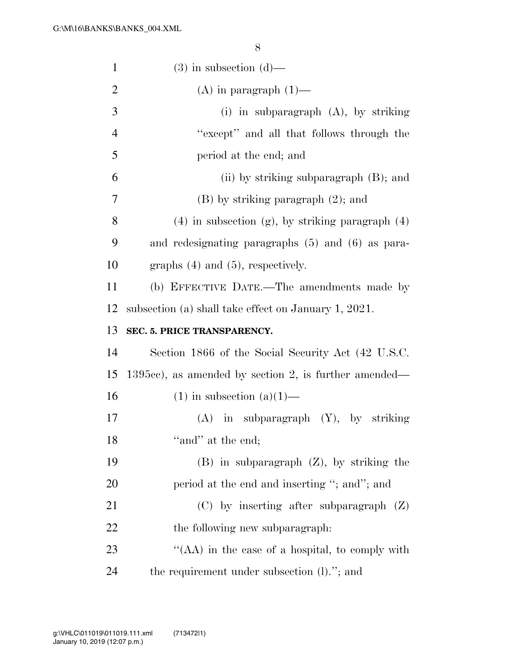| $\mathbf{1}$   | $(3)$ in subsection $(d)$ —                             |
|----------------|---------------------------------------------------------|
| $\overline{2}$ | $(A)$ in paragraph $(1)$ —                              |
| 3              | (i) in subparagraph $(A)$ , by striking                 |
| $\overline{4}$ | "except" and all that follows through the               |
| 5              | period at the end; and                                  |
| 6              | (ii) by striking subparagraph $(B)$ ; and               |
| 7              | $(B)$ by striking paragraph $(2)$ ; and                 |
| 8              | $(4)$ in subsection $(g)$ , by striking paragraph $(4)$ |
| 9              | and redesignating paragraphs $(5)$ and $(6)$ as para-   |
| 10             | graphs $(4)$ and $(5)$ , respectively.                  |
| 11             | (b) EFFECTIVE DATE.—The amendments made by              |
| 12             | subsection (a) shall take effect on January 1, 2021.    |
|                |                                                         |
| 13             | SEC. 5. PRICE TRANSPARENCY.                             |
| 14             | Section 1866 of the Social Security Act (42 U.S.C.      |
| 15             | $1395cc$ , as amended by section 2, is further amended— |
| 16             | $(1)$ in subsection $(a)(1)$ —                          |
| 17             | $(A)$ in subparagraph $(Y)$ , by striking               |
| 18             | "and" at the end;                                       |
| 19             | $(B)$ in subparagraph $(Z)$ , by striking the           |
| 20             | period at the end and inserting "; and"; and            |
| 21             | $(C)$ by inserting after subparagraph $(Z)$             |
| 22             | the following new subparagraph:                         |
| 23             | "(AA) in the case of a hospital, to comply with         |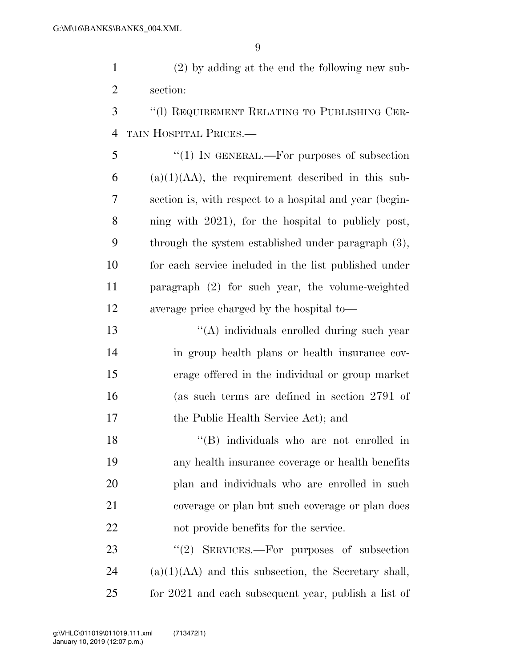(2) by adding at the end the following new sub-section:

 ''(l) REQUIREMENT RELATING TO PUBLISHING CER-TAIN HOSPITAL PRICES.—

5 "(1) In GENERAL.—For purposes of subsection (a)(1)(AA), the requirement described in this sub- section is, with respect to a hospital and year (begin- ning with 2021), for the hospital to publicly post, through the system established under paragraph (3), for each service included in the list published under paragraph (2) for such year, the volume-weighted average price charged by the hospital to—

 ''(A) individuals enrolled during such year in group health plans or health insurance cov- erage offered in the individual or group market (as such terms are defined in section 2791 of the Public Health Service Act); and

18 ''(B) individuals who are not enrolled in any health insurance coverage or health benefits plan and individuals who are enrolled in such coverage or plan but such coverage or plan does not provide benefits for the service.

23 "(2) SERVICES.—For purposes of subsection (a)(1)(AA) and this subsection, the Secretary shall, for 2021 and each subsequent year, publish a list of